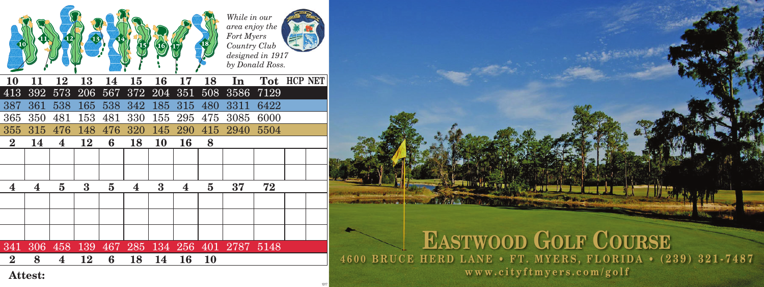

## That will be not the common the **EASTWOOD GOLF COURSE 4600 BRUCE HERD LANE • FT. MYERS, FLORIDA • (239) 321-7487 www.cityftmyers.com/golf**